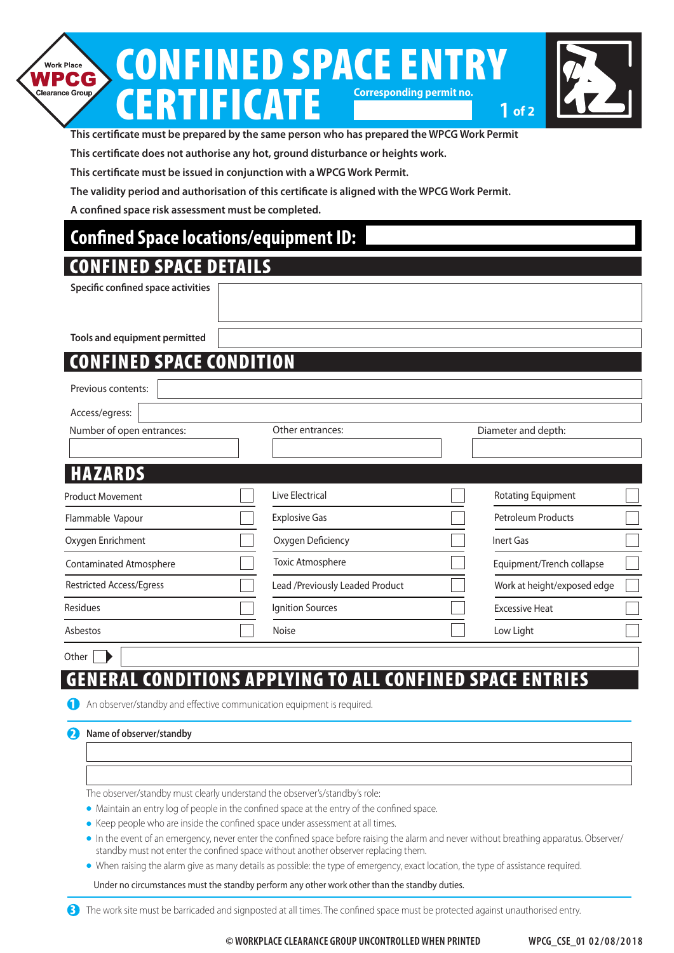#### CONFINED SPACE ENTRY **Work Place** NPCG Clearance Group **Corresponding permit no.** ERTIFICATE **1 of 2**



**This certificate must be prepared by the same person who has prepared the WPCG Work Permit**

**This certificate does not authorise any hot, ground disturbance or heights work.**

**This certificate must be issued in conjunction with a WPCG Work Permit.**

**The validity period and authorisation of this certificate is aligned with the WPCG Work Permit.**

**A confined space risk assessment must be completed.**

### **Confined Space locations/equipment ID:**

### CONFINED SPACE DETAILS

**Specific confined space activities**

**Tools and equipment permitted**

## ED SPACE CONDITION

| Previous contents:              |                                 |                             |  |
|---------------------------------|---------------------------------|-----------------------------|--|
| Access/egress:                  |                                 |                             |  |
| Number of open entrances:       | Other entrances:                | Diameter and depth:         |  |
|                                 |                                 |                             |  |
| <b>HAZARDS</b>                  |                                 |                             |  |
| <b>Product Movement</b>         | Live Electrical                 | Rotating Equipment          |  |
| Flammable Vapour                | <b>Explosive Gas</b>            | <b>Petroleum Products</b>   |  |
| Oxygen Enrichment               | Oxygen Deficiency               | Inert Gas                   |  |
| <b>Contaminated Atmosphere</b>  | <b>Toxic Atmosphere</b>         | Equipment/Trench collapse   |  |
| <b>Restricted Access/Egress</b> | Lead /Previously Leaded Product | Work at height/exposed edge |  |
| Residues                        | Ignition Sources                | <b>Excessive Heat</b>       |  |
| Asbestos                        | <b>Noise</b>                    | Low Light                   |  |
|                                 |                                 |                             |  |

Other  $\|\qquad\|$ 

# GENERAL CONDITIONS APPLYING TO ALL CONFINED SPACE ENTRIES

1 An observer/standby and effective communication equipment is required.

#### **2** Name of observer/standby

The observer/standby must clearly understand the observer's/standby's role:

• Maintain an entry log of people in the confined space at the entry of the confined space.

- Keep people who are inside the confined space under assessment at all times.
- In the event of an emergency, never enter the confined space before raising the alarm and never without breathing apparatus. Observer/ standby must not enter the confined space without another observer replacing them.
- <sup>l</sup> When raising the alarm give as many details as possible: the type of emergency, exact location, the type of assistance required.

Under no circumstances must the standby perform any other work other than the standby duties.

<sup>3</sup> The work site must be barricaded and signposted at all times. The confined space must be protected against unauthorised entry.